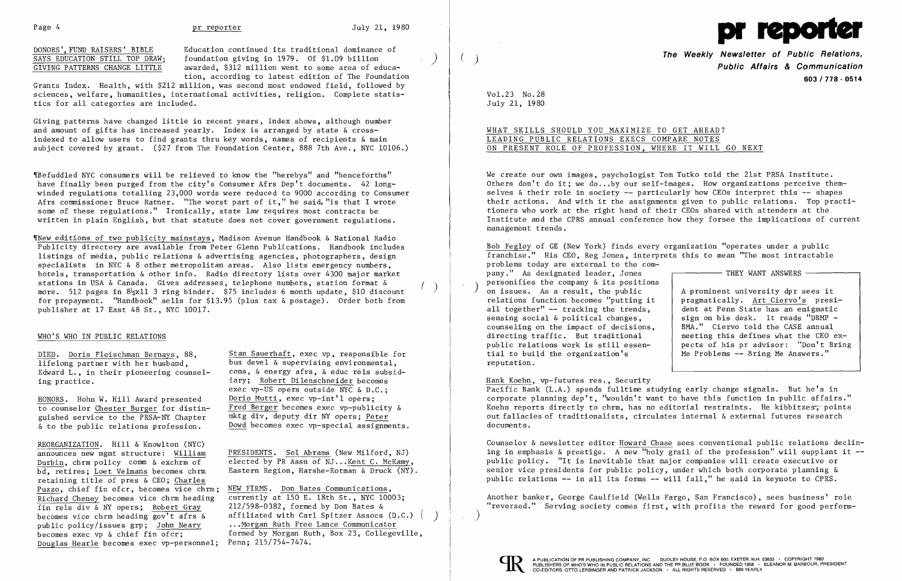DONORS', FUND RAISERS' BIBLE<br>
SAYS EDUCATION STILL TOP DRAW: foundation giving in 1979. Of \$1.09 billion SAYS EDUCATION STILL TOP DRAW; foundation giving in 1979. Of \$1.09 billion GIVING PATTERNS CHANGE LITTLE awarded. \$312 million went to some area of ed awarded, \$312 million went to some area of education, according to latest edition of The Foundation

Grants Index. Health, with \$212 million, was second most endowed field, followed by sciences, welfare, humanities, international activities, religion. Complete statistics for all categories are included.

Giving patterns have changed little in recent years, Index shows, although number and amount of gifts has increased yearly. Index is arranged by state & crossindexed to allow users to find grants thru key words, names of recipients & main subject covered by grant. (\$27 from The Foundation Center, 888 7th Ave., NYC 10106.)

DIED. Doris Fleischman Bernays, 88, Stan Sauerhaft, exec vp, responsible for lifelong partner with her husband, bus deve1 & supervising environmental, Edward L., in their pioneering counsel- cons, & energy afrs, & educ rels subsiding practice. in the same of the same of the set of the second iary; Robert Dilenschneider becomes exec vp-US opers outside NYC & D.C.; Fred Berger becomes exec vp-publicity  $\&$  mktg div, deputy dir NY opers: Peter

announces new mgmt structure: William PRESIDENTS. Sol Abrams (New Milford, NJ)<br>Durbin, chrm policy comm & exchrm of elected by PR Assn of NJ...Kent C. McKamy,<br>bd. retires: Loet Velmans becomes chrm Eastern Region, Harshe-R Eastern Region, Harshe-Rotman & Druck (NY).

becomes vice chrm heading gov't afrs & affiliated with Carl Spitzer Assocs (D.C.)<br>public policy/issues grp; John Neary ... Morgan Ruth Free Lance Communicator formed by Morgan Ruth, Box 23, Collegeville, Penn:  $215/754-7474$ .

~rBefuddled NYC consumers will be relieved to know the "herebys" and "henceforths" have finally been purged from the city's Consumer Afrs Dep't documents. 42 longwinded regulations totalling 23,000 words were reduced to 9000 according to Consumer Afrs commissioner Bruce Ratner. "The worst part of it," he said, "is that I wrote some of these regulations." Ironically, state law requires most contracts be written in plain English, but that statute does not cover government regulations.

REORGANIZATION. Hill & Knowlton (NYC) announces new mgmt structure: William PRESIDENTS. Sol Abrams (New Milford, NJ) retaining title of pres & CEO; Charles Puzzo, chief fin ofcr, becomes vice chrm; NEW FIRMS. Don Bates Communications, Richard Cheney becomes vice chrm heading currently at 150 E. 18th St., NYC 10003;<br>fin rels div & NY opers: Robert Gray 212/598-0382, formed by Don Bates & fin rels div & NY opers; Robert Gray<br>becomes vice chrm heading gov't afrs & public policy/issues grp; John Neary ... Morgan Ruth Free Lance Communicator<br>becomes exec vp & chief fin ofcr; formed by Morgan Ruth, Box 23, Collegey Douglas Hearle becomes exec vp-personnel;

~rNew editions of two publicity mainstays, Madison Avenue Handbook & National Radio Publicity directory are available from Peter Glenn Publications. Handbook includes listings of media, public relations & advertising agencies, photographers, design specialists in NYC & 8 other metropolitan areas. Also lists emergency numbers, hotels, transportation & other info. Radio directory lists over 4300 major market<br>stations in USA & Canada. Gives addresses, telephone numbers, station format & stations in USA & Canada. Gives addresses, telephone numbers, station format &  $($   $)$ <br>more. 512 pages in 8½x11 3 ring binder. \$75 includes 6 month update, \$10 discount for prepayment. "Handbook" sells for \$13.95 (plus tax & postage). Order both from publisher at 17 East 48 St., NYC 10017.

## WHO'S WHO IN PUBLIC RELATIONS

HONORS. Hohn W. Hill Award presented Dorio Mutti, exec vp-int'l opers;<br>to counselor Chester Burger for distin-<br>Fred Berger becomes exec vp-public guished service to the PRSA-NY Chapter  $\&$  to the public relations profession. Dowd becomes exec vp-special assignments.

We create our own images, psychologist Tom Tutko told the 21st PRSA Institute. Others don't do it; we do ...by our self-images. How organizations perceive themselves & their role in society -- particularly how CEOs interpret this -- shapes their actions. And with it the assignments given to public relations. Top practitioners who work at the right hand of their CEOs shared with attenders at the Institute and the CPRS annual conference how they forsee the implications of current management trends.



**The Weekly Newsletter of Public Relations,** ) **Public Affairs & Communication 603/778 - 0514** 

Vol. 23 No. 28 July 21, 1980

# WHAT SKILLS SHOULD YOU MAXIMIZE TO GET AHEAD? LEADING PUBLIC RELATIONS EXECS COMPARE NOTES ON PRESENT ROLE OF PROFESSION, WHERE IT WILL GO NEXT

Bob Fegley of GE (New York) finds every organization "operates under a public franchise." His CEO, Reg Jones, interprets this to mean "The most intractable problems today are external to the company." As designated leader, Jones - THEY WANT ANSWERS personifies the company & its positions ) personifies the company  $\alpha$  its positions<br>A prominent university dpr sees it  $\alpha$  and  $\alpha$  a prominent university dpr sees it relations function becomes "putting it pragmatically. Art Ciervo's presiall together" -- tracking the trends,  $\begin{array}{|l|l|}\n\hline\n\end{array}$  dent at Penn State has an enigmatic sensing social & political changes.  $\begin{array}{|l|l|}\n\hline\n\end{array}$  sign on his desk. It reads "DBMP sign on his desk. It reads "DBMP counseling on the impact of decisions, BMA." Ciervo told the CASE annual directing traffic. But traditional<br>public relations work is still essen meeting this defines what the CEO expublic relations work is still essen-<br>tial to build the organization's<br> $\begin{array}{|l|l|}\n\hline\n\end{array}$  Me Problems -- Bring Me Answers." Me Problems -- Bring Me Answers." reputation.

Hank Koehn, vp-futures res., Security Pacific Bank (L.A.) spends fu1ltime studying early change signals. But he's in corporate planning dep't, 'wouldn't want to have this function in public affairs." Koehn reports directly to chrm, has no editorial restraints. He kibbitzes, points out fallacies of traditionalists, circulates internal & external futures research documents.

Counselor & newsletter editor Howard Chase sees conventional public relations declining in emphasis  $\&$  prestige. A new "holy grail of the profession" will supplant it  $$ public policy. "It is inevitable that major companies will create executive or senior vice presidents for public policy, under which both corporate planning & public relations -- in all its forms -- will fall," he said in keynote to CPRS.

Another banker, George Caulfield (Wells Fargo, San Francisco), sees business' role "reversed." Serving society comes first, with profits the reward for good perform

 $\big)$ 

I